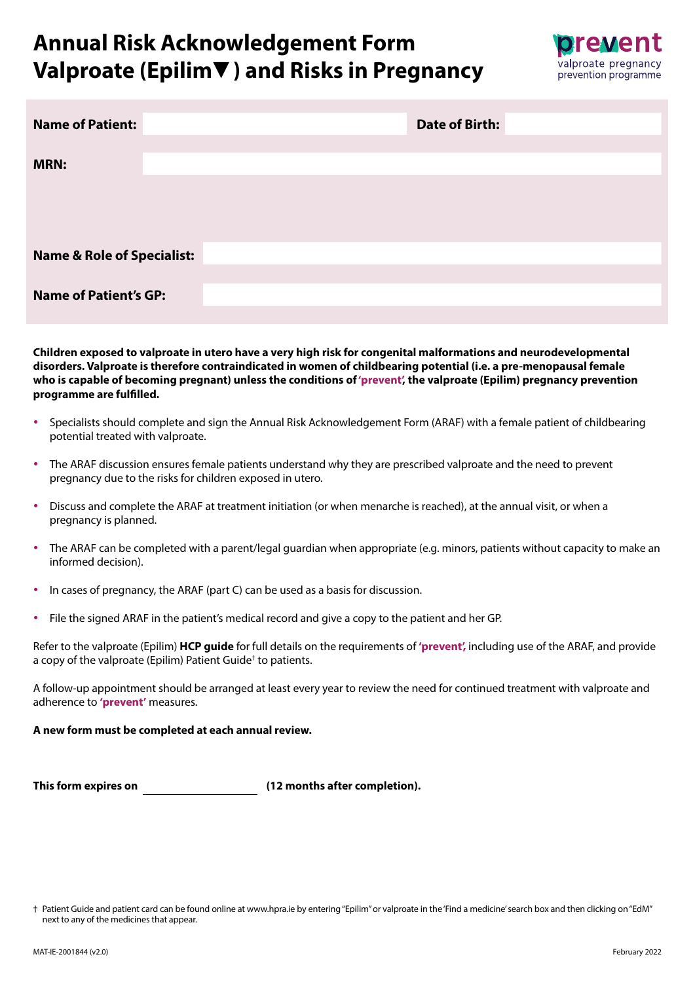

| <b>Name of Patient:</b>               | <b>Date of Birth:</b> |
|---------------------------------------|-----------------------|
| <b>MRN:</b>                           |                       |
|                                       |                       |
|                                       |                       |
| <b>Name &amp; Role of Specialist:</b> |                       |
| <b>Name of Patient's GP:</b>          |                       |
|                                       |                       |

**Children exposed to valproate in utero have a very high risk for congenital malformations and neurodevelopmental disorders. Valproate is therefore contraindicated in women of childbearing potential (i.e. a pre-menopausal female who is capable of becoming pregnant) unless the conditions of 'prevent', the valproate (Epilim) pregnancy prevention programme are fulfilled.**

- Specialists should complete and sign the Annual Risk Acknowledgement Form (ARAF) with a female patient of childbearing potential treated with valproate.
- The ARAF discussion ensures female patients understand why they are prescribed valproate and the need to prevent pregnancy due to the risks for children exposed in utero.
- Discuss and complete the ARAF at treatment initiation (or when menarche is reached), at the annual visit, or when a pregnancy is planned.
- The ARAF can be completed with a parent/legal guardian when appropriate (e.g. minors, patients without capacity to make an informed decision).
- In cases of pregnancy, the ARAF (part C) can be used as a basis for discussion.
- File the signed ARAF in the patient's medical record and give a copy to the patient and her GP.

Refer to the valproate (Epilim) **HCP guide** for full details on the requirements of **'prevent',** including use of the ARAF, and provide a copy of the valproate (Epilim) Patient Guide† to patients.

A follow-up appointment should be arranged at least every year to review the need for continued treatment with valproate and adherence to **'prevent'** measures.

#### **A new form must be completed at each annual review.**

| This form expires on | (12 months after completion). |
|----------------------|-------------------------------|
|----------------------|-------------------------------|

<sup>†</sup> Patient Guide and patient card can be found online at www.hpra.ie by entering "Epilim" or valproate in the 'Find a medicine' search box and then clicking on "EdM" next to any of the medicines that appear.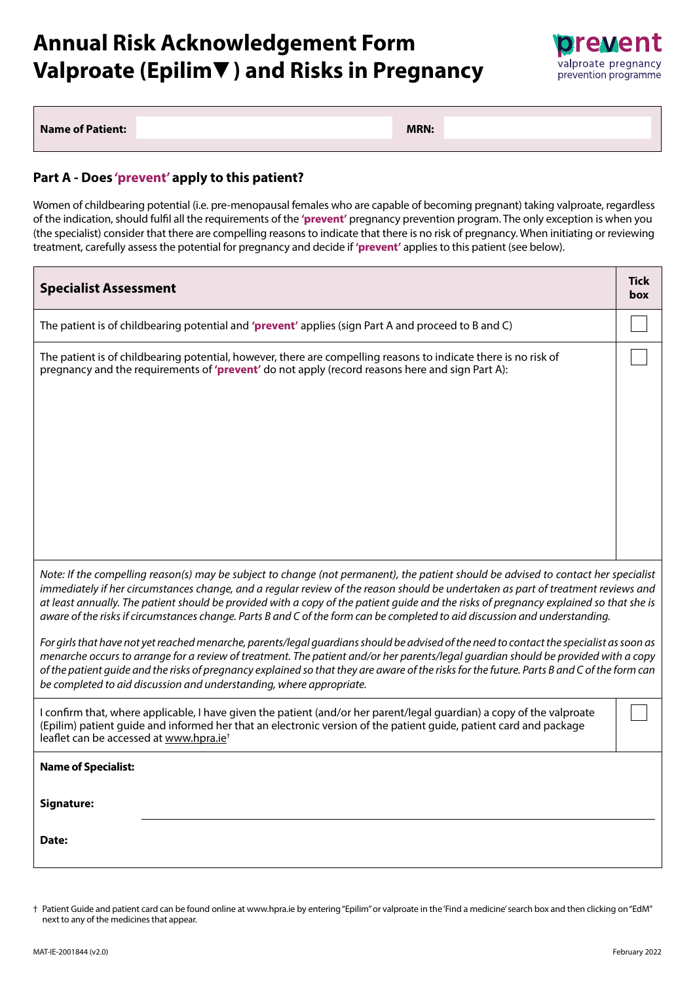

**Name of Patient:**  MRN: **MRN:**  $\blacksquare$ 

#### **Part A - Does 'prevent' apply to this patient?**

Women of childbearing potential (i.e. pre-menopausal females who are capable of becoming pregnant) taking valproate, regardless of the indication, should fulfil all the requirements of the **'prevent'** pregnancy prevention program. The only exception is when you (the specialist) consider that there are compelling reasons to indicate that there is no risk of pregnancy. When initiating or reviewing treatment, carefully assess the potential for pregnancy and decide if **'prevent'** applies to this patient (see below).

| <b>Specialist Assessment</b>                                                                                                                                                                                                                                                                                                                                                                                                                                                                                                                                                                                                                                                                                                                                                                                                                                                                                                                                                                                                                               | <b>Tick</b><br>box |  |
|------------------------------------------------------------------------------------------------------------------------------------------------------------------------------------------------------------------------------------------------------------------------------------------------------------------------------------------------------------------------------------------------------------------------------------------------------------------------------------------------------------------------------------------------------------------------------------------------------------------------------------------------------------------------------------------------------------------------------------------------------------------------------------------------------------------------------------------------------------------------------------------------------------------------------------------------------------------------------------------------------------------------------------------------------------|--------------------|--|
| The patient is of childbearing potential and 'prevent' applies (sign Part A and proceed to B and C)                                                                                                                                                                                                                                                                                                                                                                                                                                                                                                                                                                                                                                                                                                                                                                                                                                                                                                                                                        |                    |  |
| The patient is of childbearing potential, however, there are compelling reasons to indicate there is no risk of<br>pregnancy and the requirements of 'prevent' do not apply (record reasons here and sign Part A):                                                                                                                                                                                                                                                                                                                                                                                                                                                                                                                                                                                                                                                                                                                                                                                                                                         |                    |  |
| Note: If the compelling reason(s) may be subject to change (not permanent), the patient should be advised to contact her specialist<br>immediately if her circumstances change, and a regular review of the reason should be undertaken as part of treatment reviews and<br>at least annually. The patient should be provided with a copy of the patient guide and the risks of pregnancy explained so that she is<br>aware of the risks if circumstances change. Parts B and C of the form can be completed to aid discussion and understanding.<br>For girls that have not yet reached menarche, parents/legal guardians should be advised of the need to contact the specialist as soon as<br>menarche occurs to arrange for a review of treatment. The patient and/or her parents/legal guardian should be provided with a copy<br>of the patient guide and the risks of pregnancy explained so that they are aware of the risks for the future. Parts B and C of the form can<br>be completed to aid discussion and understanding, where appropriate. |                    |  |
| I confirm that, where applicable, I have given the patient (and/or her parent/legal guardian) a copy of the valproate<br>(Epilim) patient guide and informed her that an electronic version of the patient guide, patient card and package<br>leaflet can be accessed at www.hpra.ie <sup>+</sup>                                                                                                                                                                                                                                                                                                                                                                                                                                                                                                                                                                                                                                                                                                                                                          |                    |  |
| <b>Name of Specialist:</b><br>Signature:<br>Date:                                                                                                                                                                                                                                                                                                                                                                                                                                                                                                                                                                                                                                                                                                                                                                                                                                                                                                                                                                                                          |                    |  |
|                                                                                                                                                                                                                                                                                                                                                                                                                                                                                                                                                                                                                                                                                                                                                                                                                                                                                                                                                                                                                                                            |                    |  |

<sup>†</sup> Patient Guide and patient card can be found online at www.hpra.ie by entering "Epilim" or valproate in the 'Find a medicine' search box and then clicking on "EdM" next to any of the medicines that appear.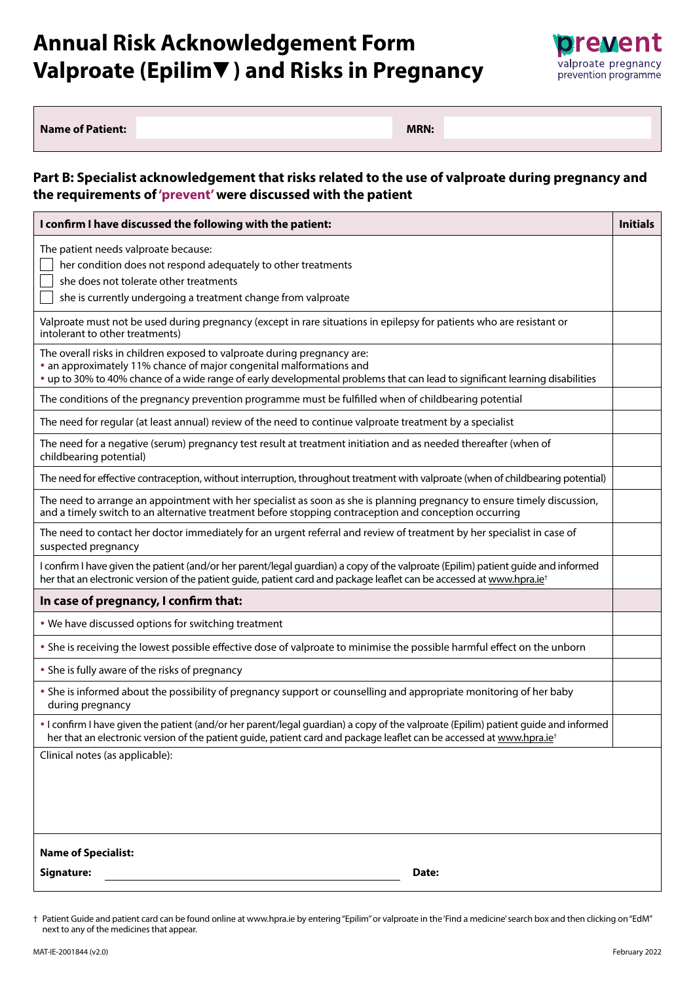

| <b>Name of Patient:</b> | <b>MRN:</b> |
|-------------------------|-------------|
|                         |             |

#### **Part B: Specialist acknowledgement that risks related to the use of valproate during pregnancy and the requirements of 'prevent' were discussed with the patient**

| I confirm I have discussed the following with the patient:                                                                                                                                                                                                                      | <b>Initials</b> |
|---------------------------------------------------------------------------------------------------------------------------------------------------------------------------------------------------------------------------------------------------------------------------------|-----------------|
| The patient needs valproate because:<br>her condition does not respond adequately to other treatments<br>she does not tolerate other treatments<br>she is currently undergoing a treatment change from valproate                                                                |                 |
| Valproate must not be used during pregnancy (except in rare situations in epilepsy for patients who are resistant or<br>intolerant to other treatments)                                                                                                                         |                 |
| The overall risks in children exposed to valproate during pregnancy are:<br>• an approximately 11% chance of major congenital malformations and<br>• up to 30% to 40% chance of a wide range of early developmental problems that can lead to significant learning disabilities |                 |
| The conditions of the pregnancy prevention programme must be fulfilled when of childbearing potential                                                                                                                                                                           |                 |
| The need for regular (at least annual) review of the need to continue valproate treatment by a specialist                                                                                                                                                                       |                 |
| The need for a negative (serum) pregnancy test result at treatment initiation and as needed thereafter (when of<br>childbearing potential)                                                                                                                                      |                 |
| The need for effective contraception, without interruption, throughout treatment with valproate (when of childbearing potential)                                                                                                                                                |                 |
| The need to arrange an appointment with her specialist as soon as she is planning pregnancy to ensure timely discussion,<br>and a timely switch to an alternative treatment before stopping contraception and conception occurring                                              |                 |
| The need to contact her doctor immediately for an urgent referral and review of treatment by her specialist in case of<br>suspected pregnancy                                                                                                                                   |                 |
| I confirm I have given the patient (and/or her parent/legal guardian) a copy of the valproate (Epilim) patient guide and informed<br>her that an electronic version of the patient guide, patient card and package leaflet can be accessed at www.hpra.ie <sup>t</sup>          |                 |
| In case of pregnancy, I confirm that:                                                                                                                                                                                                                                           |                 |
| . We have discussed options for switching treatment                                                                                                                                                                                                                             |                 |
| . She is receiving the lowest possible effective dose of valproate to minimise the possible harmful effect on the unborn                                                                                                                                                        |                 |
| • She is fully aware of the risks of pregnancy                                                                                                                                                                                                                                  |                 |
| • She is informed about the possibility of pregnancy support or counselling and appropriate monitoring of her baby<br>during pregnancy                                                                                                                                          |                 |
| • I confirm I have given the patient (and/or her parent/legal guardian) a copy of the valproate (Epilim) patient guide and informed<br>her that an electronic version of the patient guide, patient card and package leaflet can be accessed at www.hpra.ie <sup>+</sup>        |                 |
| Clinical notes (as applicable):                                                                                                                                                                                                                                                 |                 |
| <b>Name of Specialist:</b>                                                                                                                                                                                                                                                      |                 |
| Signature:<br>Date:                                                                                                                                                                                                                                                             |                 |

† Patient Guide and patient card can be found online at www.hpra.ie by entering "Epilim" or valproate in the 'Find a medicine' search box and then clicking on "EdM" next to any of the medicines that appear.